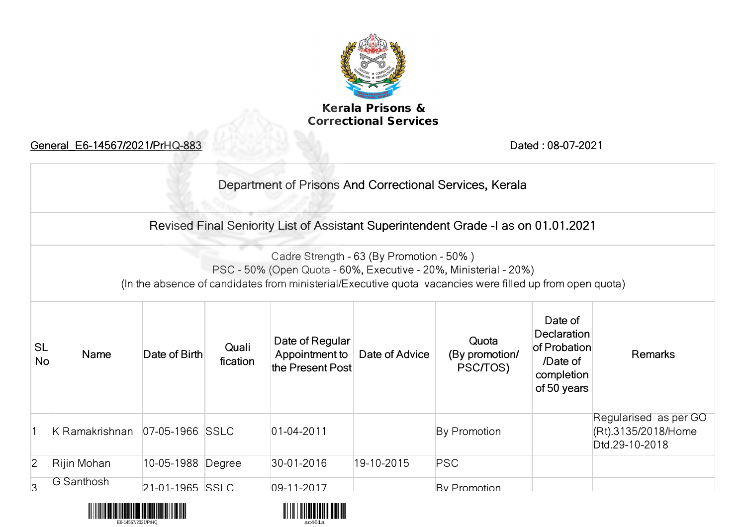

## **Kerala Prisons &<br>Correctional Services**

|                        | General E6-14567/2021/PrHQ-883 |                   |                   |                                                       | Dated: 08-07-2021 |                                                                                                                                                                              |                                                                                 |                                                                |  |
|------------------------|--------------------------------|-------------------|-------------------|-------------------------------------------------------|-------------------|------------------------------------------------------------------------------------------------------------------------------------------------------------------------------|---------------------------------------------------------------------------------|----------------------------------------------------------------|--|
|                        |                                |                   |                   |                                                       |                   | Department of Prisons And Correctional Services, Kerala                                                                                                                      |                                                                                 |                                                                |  |
|                        |                                |                   |                   |                                                       |                   | Revised Final Seniority List of Assistant Superintendent Grade -I as on 01.01.2021                                                                                           |                                                                                 |                                                                |  |
|                        |                                |                   |                   | Cadre Strength - 63 (By Promotion - 50%)              |                   | PSC - 50% (Open Quota - 60%, Executive - 20%, Ministerial - 20%)<br>(In the absence of candidates from ministerial/Executive quota vacancies were filled up from open quota) |                                                                                 |                                                                |  |
| <b>SL</b><br><b>No</b> | Name                           | Date of Birth     | Quali<br>fication | Date of Regular<br>Appointment to<br>the Present Post | Date of Advice    | Quota<br>(By promotion/<br>PSC/TOS)                                                                                                                                          | Date of<br>Declaration<br>of Probation<br>/Date of<br>completion<br>of 50 years | <b>Remarks</b>                                                 |  |
|                        | K Ramakrishnan                 | 07-05-1966 SSLC   |                   | $ 01 - 04 - 2011 $                                    |                   | By Promotion                                                                                                                                                                 |                                                                                 | Regularised as per GO<br>(Rt).3135/2018/Home<br>Dtd.29-10-2018 |  |
| $\overline{c}$         | Rijin Mohan                    | 10-05-1988 Degree |                   | 30-01-2016                                            | 19-10-2015        | <b>PSC</b>                                                                                                                                                                   |                                                                                 |                                                                |  |
| 3                      | G Santhosh                     | 21-01-1965 SSLC   |                   | $09 - 11 - 2017$                                      |                   | <b>Ry Promotion</b>                                                                                                                                                          |                                                                                 |                                                                |  |



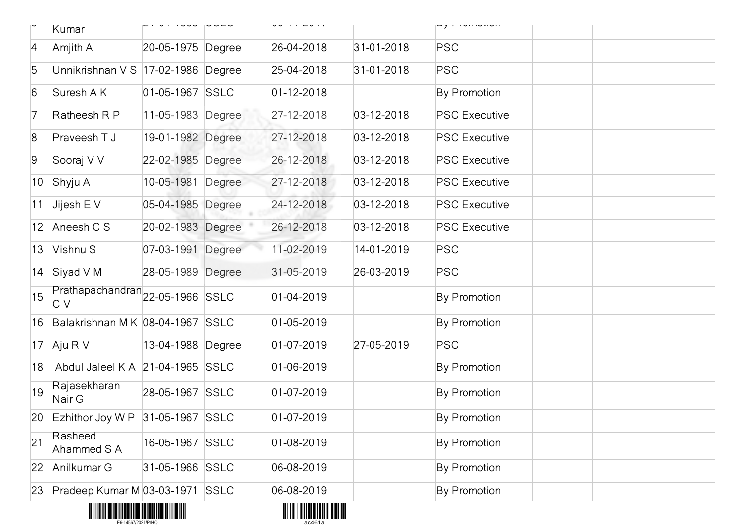|                | Kumar                                   |                   | vo in 2017                                 |                  | oy mondouon          |
|----------------|-----------------------------------------|-------------------|--------------------------------------------|------------------|----------------------|
| 4              | Amjith A                                | 20-05-1975 Degree | 26-04-2018                                 | $31 - 01 - 2018$ | PSC                  |
| 5              | Unnikrishnan V S 17-02-1986 Degree      |                   | 25-04-2018                                 | $31 - 01 - 2018$ | <b>PSC</b>           |
| 6              | Suresh A K                              | 01-05-1967 SSLC   | $01 - 12 - 2018$                           |                  | By Promotion         |
| 7              | Ratheesh R P                            | 11-05-1983 Degree | 27-12-2018                                 | 03-12-2018       | <b>PSC Executive</b> |
| $\overline{8}$ | Praveesh T J                            | 19-01-1982 Degree | 27-12-2018                                 | $03 - 12 - 2018$ | <b>PSC Executive</b> |
| 9              | Sooraj V V                              | 22-02-1985 Degree | 26-12-2018                                 | $03 - 12 - 2018$ | <b>PSC Executive</b> |
| $ 10\rangle$   | Shyju A                                 | 10-05-1981 Degree | 27-12-2018                                 | $03 - 12 - 2018$ | <b>PSC Executive</b> |
| 11             | Jijesh $E$ V                            | 05-04-1985 Degree | 24-12-2018                                 | $03 - 12 - 2018$ | <b>PSC Executive</b> |
|                | 12 Aneesh C S                           | 20-02-1983 Degree | 26-12-2018                                 | $03 - 12 - 2018$ | <b>PSC Executive</b> |
| $ 13\rangle$   | Vishnu S                                | 07-03-1991 Degree | 11-02-2019                                 | 14-01-2019       | PSC                  |
|                | 14 Siyad V M                            | 28-05-1989 Degree | 31-05-2019                                 | 26-03-2019       | PSC                  |
| 15             | Prathapachandran 22-05-1966 SSLC<br>C V |                   | $01 - 04 - 2019$                           |                  | By Promotion         |
| 16             | Balakrishnan MK 08-04-1967 SSLC         |                   | $01 - 05 - 2019$                           |                  | By Promotion         |
|                | 17 Aju R V                              | 13-04-1988 Degree | $01-07-2019$                               | 27-05-2019       | <b>PSC</b>           |
| 18             | Abdul Jaleel K A 21-04-1965 SSLC        |                   | $01 - 06 - 2019$                           |                  | By Promotion         |
| 19             | Rajasekharan<br>Nair G                  | 28-05-1967 SSLC   | $01-07-2019$                               |                  | By Promotion         |
|                | 20 Ezhithor Joy W P 31-05-1967 SSLC     |                   | $01 - 07 - 2019$                           |                  | By Promotion         |
| 21             | Rasheed<br>Ahammed S A                  | 16-05-1967 SSLC   | $01 - 08 - 2019$                           |                  | By Promotion         |
| 22             | Anilkumar G                             | 31-05-1966 SSLC   | 06-08-2019                                 |                  | By Promotion         |
| 23             | Pradeep Kumar M 03-03-1971 SSLC         |                   | 06-08-2019                                 |                  | By Promotion         |
|                |                                         |                   | <u> 811 118 1 1881 81 811 811 812 813 </u> |                  |                      |



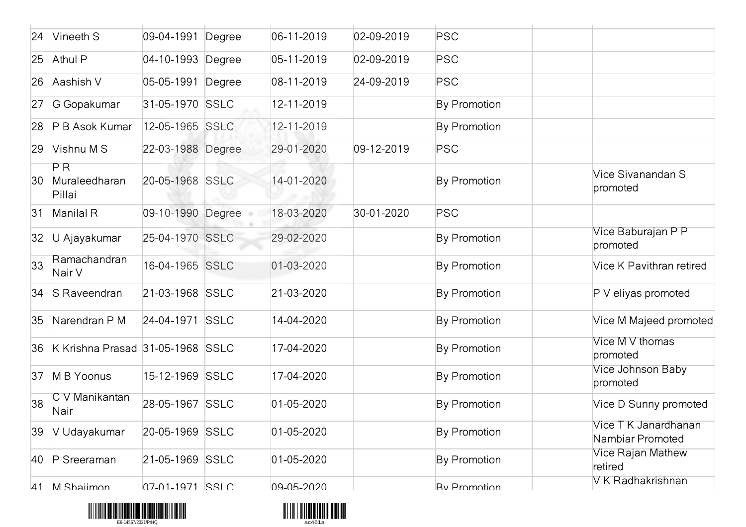| 24           | Vineeth S                        | 09-04-1991              | Degree | 06-11-2019       | 02-09-2019       | PSC                 |                                          |
|--------------|----------------------------------|-------------------------|--------|------------------|------------------|---------------------|------------------------------------------|
| 25           | Athul P                          | 04-10-1993 Degree       |        | 05-11-2019       | $02 - 09 - 2019$ | <b>PSC</b>          |                                          |
| 26           | Aashish V                        | 05-05-1991              | Degree | 08-11-2019       | 24-09-2019       | <b>PSC</b>          |                                          |
| 27           | G Gopakumar                      | 31-05-1970 SSLC         |        | 12-11-2019       |                  | By Promotion        |                                          |
| 28           | P B Asok Kumar                   | 12-05-1965 SSLC         |        | 12-11-2019       |                  | By Promotion        |                                          |
| 29           | Vishnu M S                       | 22-03-1988 Degree       |        | 29-01-2020       | $09-12-2019$     | <b>PSC</b>          |                                          |
| 30           | PR<br>Muraleedharan<br>Pillai    | 20-05-1968 SSLC         |        | 14-01-2020       |                  | By Promotion        | Vice Sivanandan S<br>promoted            |
| 31           | Manilal R                        | 09-10-1990 Degree       |        | 18-03-2020       | 30-01-2020       | PSC                 |                                          |
| $ 32\rangle$ | U Ajayakumar                     | 25-04-1970 SSLC         |        | 29-02-2020       |                  | By Promotion        | Vice Baburajan P P<br>promoted           |
| $ 33\rangle$ | Ramachandran<br>Nair V           | 16-04-1965 SSLC         |        | 01-03-2020       |                  | By Promotion        | Vice K Pavithran retired                 |
| 34           | S Raveendran                     | 21-03-1968 SSLC         |        | 21-03-2020       |                  | By Promotion        | $P V$ eliyas promoted                    |
| 35           | Narendran P M                    | 24-04-1971 SSLC         |        | 14-04-2020       |                  | By Promotion        | Vice M Majeed promoted                   |
| 36           | K Krishna Prasad 31-05-1968 SSLC |                         |        | 17-04-2020       |                  | By Promotion        | Vice M V thomas<br>promoted              |
| 37           | M B Yoonus                       | 15-12-1969 SSLC         |        | 17-04-2020       |                  | By Promotion        | Vice Johnson Baby<br>promoted            |
| 38           | C V Manikantan<br>Nair           | 28-05-1967 SSLC         |        | $01 - 05 - 2020$ |                  | By Promotion        | Vice D Sunny promoted                    |
| 39           | V Udayakumar                     | 20-05-1969 SSLC         |        | $01 - 05 - 2020$ |                  | By Promotion        | Vice T K Janardhanan<br>Nambiar Promoted |
| 40           | P Sreeraman                      | 21-05-1969 SSLC         |        | $01 - 05 - 2020$ |                  | By Promotion        | Vice Rajan Mathew<br>retired             |
| $\Delta$ 1   | M Shaiimon                       | $07-01-1971$ $\leq$ SIC |        | 09-05-2020       |                  | <b>Ry Promotion</b> | V K Radhakrishnan                        |